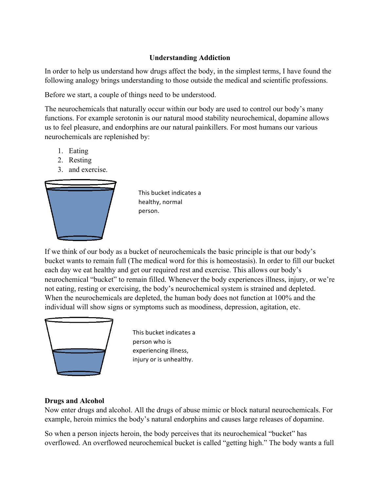## **Understanding Addiction**

In order to help us understand how drugs affect the body, in the simplest terms, I have found the following analogy brings understanding to those outside the medical and scientific professions.

Before we start, a couple of things need to be understood.

The neurochemicals that naturally occur within our body are used to control our body's many functions. For example serotonin is our natural mood stability neurochemical, dopamine allows us to feel pleasure, and endorphins are our natural painkillers. For most humans our various neurochemicals are replenished by:

- 1. Eating
- 2. Resting
- 3. and exercise.



This bucket indicates a healthy, normal person.

If we think of our body as a bucket of neurochemicals the basic principle is that our body's bucket wants to remain full (The medical word for this is homeostasis). In order to fill our bucket each day we eat healthy and get our required rest and exercise. This allows our body's neurochemical "bucket" to remain filled. Whenever the body experiences illness, injury, or we're not eating, resting or exercising, the body's neurochemical system is strained and depleted. When the neurochemicals are depleted, the human body does not function at 100% and the individual will show signs or symptoms such as moodiness, depression, agitation, etc.



This bucket indicates a person who is experiencing illness, injury or is unhealthy.

## **Drugs and Alcohol**

Now enter drugs and alcohol. All the drugs of abuse mimic or block natural neurochemicals. For example, heroin mimics the body's natural endorphins and causes large releases of dopamine.

So when a person injects heroin, the body perceives that its neurochemical "bucket" has overflowed. An overflowed neurochemical bucket is called "getting high." The body wants a full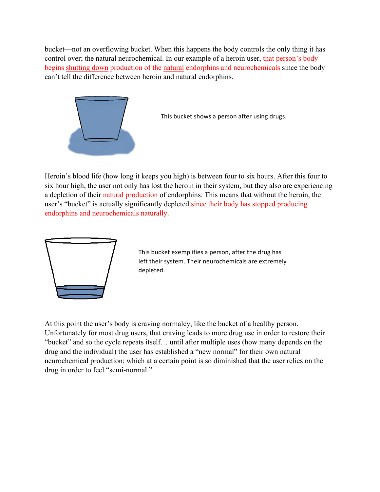bucket—not an overflowing bucket. When this happens the body controls the only thing it has control over; the natural neurochemical. In our example of a heroin user, that person's body begins shutting down production of the natural endorphins and neurochemicals since the body can't tell the difference between heroin and natural endorphins.



This bucket shows a person after using drugs.

Heroin's blood life (how long it keeps you high) is between four to six hours. After this four to six hour high, the user not only has lost the heroin in their system, but they also are experiencing a depletion of their natural production of endorphins. This means that without the heroin, the user's "bucket" is actually significantly depleted since their body has stopped producing endorphins and neurochemicals naturally.



This bucket exemplifies a person, after the drug has left their system. Their neurochemicals are extremely depleted.

At this point the user's body is craving normalcy, like the bucket of a healthy person. Unfortunately for most drug users, that craving leads to more drug use in order to restore their "bucket" and so the cycle repeats itself… until after multiple uses (how many depends on the drug and the individual) the user has established a "new normal" for their own natural neurochemical production; which at a certain point is so diminished that the user relies on the drug in order to feel "semi-normal."